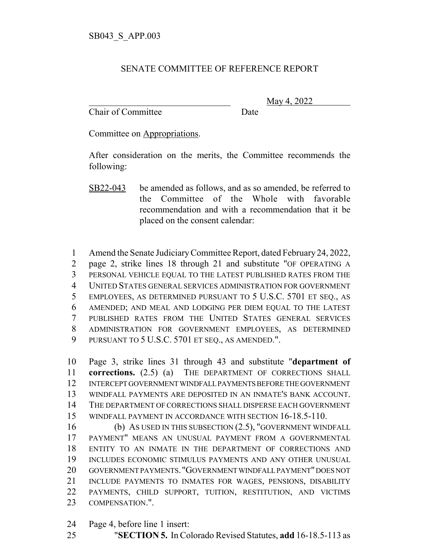## SENATE COMMITTEE OF REFERENCE REPORT

Chair of Committee Date

\_\_\_\_\_\_\_\_\_\_\_\_\_\_\_\_\_\_\_\_\_\_\_\_\_\_\_\_\_\_\_ May 4, 2022

Committee on Appropriations.

After consideration on the merits, the Committee recommends the following:

 Amend the Senate Judiciary Committee Report, dated February 24, 2022, page 2, strike lines 18 through 21 and substitute "OF OPERATING A PERSONAL VEHICLE EQUAL TO THE LATEST PUBLISHED RATES FROM THE UNITED STATES GENERAL SERVICES ADMINISTRATION FOR GOVERNMENT EMPLOYEES, AS DETERMINED PURSUANT TO 5 U.S.C. 5701 ET SEQ., AS AMENDED; AND MEAL AND LODGING PER DIEM EQUAL TO THE LATEST PUBLISHED RATES FROM THE UNITED STATES GENERAL SERVICES ADMINISTRATION FOR GOVERNMENT EMPLOYEES, AS DETERMINED PURSUANT TO 5 U.S.C. 5701 ET SEQ., AS AMENDED.".

 Page 3, strike lines 31 through 43 and substitute "**department of corrections.** (2.5) (a) THE DEPARTMENT OF CORRECTIONS SHALL INTERCEPT GOVERNMENT WINDFALL PAYMENTS BEFORE THE GOVERNMENT WINDFALL PAYMENTS ARE DEPOSITED IN AN INMATE'S BANK ACCOUNT. THE DEPARTMENT OF CORRECTIONS SHALL DISPERSE EACH GOVERNMENT WINDFALL PAYMENT IN ACCORDANCE WITH SECTION 16-18.5-110.

 (b) AS USED IN THIS SUBSECTION (2.5), "GOVERNMENT WINDFALL PAYMENT" MEANS AN UNUSUAL PAYMENT FROM A GOVERNMENTAL ENTITY TO AN INMATE IN THE DEPARTMENT OF CORRECTIONS AND INCLUDES ECONOMIC STIMULUS PAYMENTS AND ANY OTHER UNUSUAL GOVERNMENT PAYMENTS. "GOVERNMENT WINDFALL PAYMENT" DOES NOT INCLUDE PAYMENTS TO INMATES FOR WAGES, PENSIONS, DISABILITY PAYMENTS, CHILD SUPPORT, TUITION, RESTITUTION, AND VICTIMS COMPENSATION.".

- Page 4, before line 1 insert:
- "**SECTION 5.** In Colorado Revised Statutes, **add** 16-18.5-113 as

SB22-043 be amended as follows, and as so amended, be referred to the Committee of the Whole with favorable recommendation and with a recommendation that it be placed on the consent calendar: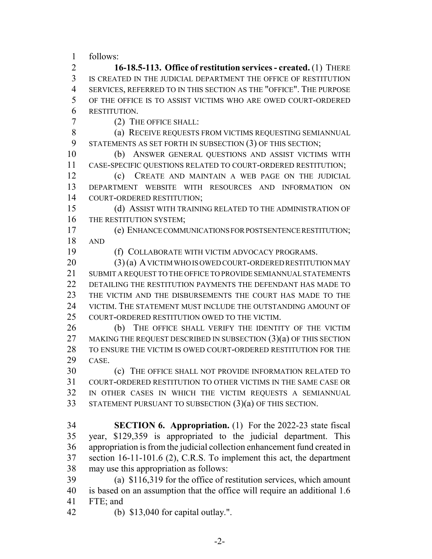follows:

 **16-18.5-113. Office of restitution services - created.** (1) THERE IS CREATED IN THE JUDICIAL DEPARTMENT THE OFFICE OF RESTITUTION SERVICES, REFERRED TO IN THIS SECTION AS THE "OFFICE". THE PURPOSE OF THE OFFICE IS TO ASSIST VICTIMS WHO ARE OWED COURT-ORDERED RESTITUTION.

(2) THE OFFICE SHALL:

8 (a) RECEIVE REQUESTS FROM VICTIMS REQUESTING SEMIANNUAL STATEMENTS AS SET FORTH IN SUBSECTION (3) OF THIS SECTION;

 (b) ANSWER GENERAL QUESTIONS AND ASSIST VICTIMS WITH CASE-SPECIFIC QUESTIONS RELATED TO COURT-ORDERED RESTITUTION;

 (c) CREATE AND MAINTAIN A WEB PAGE ON THE JUDICIAL DEPARTMENT WEBSITE WITH RESOURCES AND INFORMATION ON COURT-ORDERED RESTITUTION;

 (d) ASSIST WITH TRAINING RELATED TO THE ADMINISTRATION OF 16 THE RESTITUTION SYSTEM:

 (e) ENHANCE COMMUNICATIONS FOR POSTSENTENCE RESTITUTION; AND

(f) COLLABORATE WITH VICTIM ADVOCACY PROGRAMS.

 (3) (a) A VICTIM WHO IS OWED COURT-ORDERED RESTITUTION MAY SUBMIT A REQUEST TO THE OFFICE TO PROVIDE SEMIANNUAL STATEMENTS DETAILING THE RESTITUTION PAYMENTS THE DEFENDANT HAS MADE TO THE VICTIM AND THE DISBURSEMENTS THE COURT HAS MADE TO THE VICTIM. THE STATEMENT MUST INCLUDE THE OUTSTANDING AMOUNT OF COURT-ORDERED RESTITUTION OWED TO THE VICTIM.

 (b) THE OFFICE SHALL VERIFY THE IDENTITY OF THE VICTIM 27 MAKING THE REQUEST DESCRIBED IN SUBSECTION (3)(a) OF THIS SECTION TO ENSURE THE VICTIM IS OWED COURT-ORDERED RESTITUTION FOR THE CASE.

 (c) THE OFFICE SHALL NOT PROVIDE INFORMATION RELATED TO COURT-ORDERED RESTITUTION TO OTHER VICTIMS IN THE SAME CASE OR IN OTHER CASES IN WHICH THE VICTIM REQUESTS A SEMIANNUAL STATEMENT PURSUANT TO SUBSECTION (3)(a) OF THIS SECTION.

 **SECTION 6. Appropriation.** (1) For the 2022-23 state fiscal year, \$129,359 is appropriated to the judicial department. This appropriation is from the judicial collection enhancement fund created in section 16-11-101.6 (2), C.R.S. To implement this act, the department may use this appropriation as follows:

 (a) \$116,319 for the office of restitution services, which amount is based on an assumption that the office will require an additional 1.6 FTE; and

(b) \$13,040 for capital outlay.".